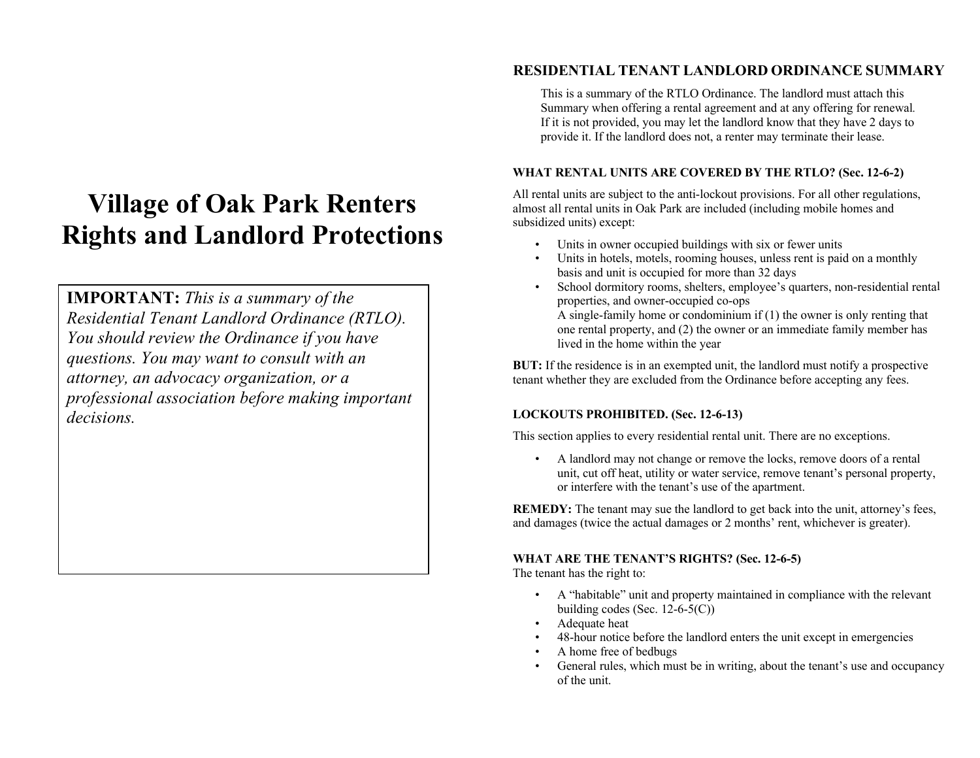# **Village of Oak Park Renters Rights and Landlord Protections**

**IMPORTANT:** *This is a summary of the Residential Tenant Landlord Ordinance (RTLO). You should review the Ordinance if you have questions. You may want to consult with an attorney, an advocacy organization, or a professional association before making important decisions.* 

# **RESIDENTIAL TENANT LANDLORD ORDINANCE SUMMARY**

This is a summary of the RTLO Ordinance. The landlord must attach this Summary when offering a rental agreement and at any offering for renewal*.* If it is not provided, you may let the landlord know that they have 2 days to provide it. If the landlord does not, a renter may terminate their lease.

# **WHAT RENTAL UNITS ARE COVERED BY THE RTLO? (Sec. 12-6-2)**

All rental units are subject to the anti-lockout provisions. For all other regulations, almost all rental units in Oak Park are included (including mobile homes and subsidized units) except:

- Units in owner occupied buildings with six or fewer units
- Units in hotels, motels, rooming houses, unless rent is paid on a monthly basis and unit is occupied for more than 32 days
- School dormitory rooms, shelters, employee's quarters, non-residential rental properties, and owner-occupied co-ops A single-family home or condominium if (1) the owner is only renting that one rental property, and (2) the owner or an immediate family member has lived in the home within the year

**BUT:** If the residence is in an exempted unit, the landlord must notify a prospective tenant whether they are excluded from the Ordinance before accepting any fees.

# **LOCKOUTS PROHIBITED. (Sec. 12-6-13)**

This section applies to every residential rental unit. There are no exceptions.

• A landlord may not change or remove the locks, remove doors of a rental unit, cut off heat, utility or water service, remove tenant's personal property, or interfere with the tenant's use of the apartment.

**REMEDY:** The tenant may sue the landlord to get back into the unit, attorney's fees, and damages (twice the actual damages or 2 months' rent, whichever is greater).

# **WHAT ARE THE TENANT'S RIGHTS? (Sec. 12-6-5)**

The tenant has the right to:

- A "habitable" unit and property maintained in compliance with the relevant building codes (Sec. 12-6-5(C))
- Adequate heat
- 48-hour notice before the landlord enters the unit except in emergencies
- A home free of bedbugs
- General rules, which must be in writing, about the tenant's use and occupancy of the unit.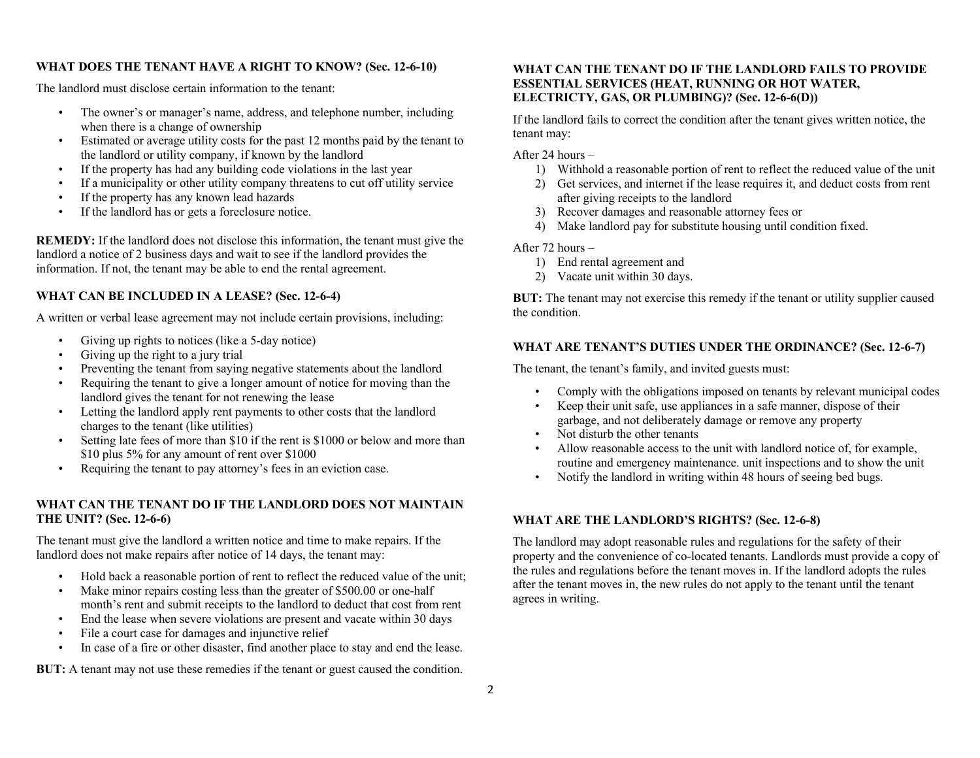#### **WHAT DOES THE TENANT HAVE A RIGHT TO KNOW? (Sec. 12-6-10)**

The landlord must disclose certain information to the tenant:

- The owner's or manager's name, address, and telephone number, including when there is a change of ownership
- Estimated or average utility costs for the past 12 months paid by the tenant to the landlord or utility company, if known by the landlord
- If the property has had any building code violations in the last year
- If a municipality or other utility company threatens to cut off utility service
- If the property has any known lead hazards
- If the landlord has or gets a foreclosure notice.

**REMEDY:** If the landlord does not disclose this information, the tenant must give the landlord a notice of 2 business days and wait to see if the landlord provides the information. If not, the tenant may be able to end the rental agreement.

# **WHAT CAN BE INCLUDED IN A LEASE? (Sec. 12-6-4)**

A written or verbal lease agreement may not include certain provisions, including:

- Giving up rights to notices (like a 5-day notice)
- Giving up the right to a jury trial
- Preventing the tenant from saying negative statements about the landlord
- Requiring the tenant to give a longer amount of notice for moving than the landlord gives the tenant for not renewing the lease
- Letting the landlord apply rent payments to other costs that the landlord charges to the tenant (like utilities)
- Setting late fees of more than \$10 if the rent is \$1000 or below and more than \$10 plus 5% for any amount of rent over \$1000
- Requiring the tenant to pay attorney's fees in an eviction case.

# **WHAT CAN THE TENANT DO IF THE LANDLORD DOES NOT MAINTAIN THE UNIT? (Sec. 12-6-6)**

The tenant must give the landlord a written notice and time to make repairs. If the landlord does not make repairs after notice of 14 days, the tenant may:

- Hold back a reasonable portion of rent to reflect the reduced value of the unit;
- Make minor repairs costing less than the greater of \$500.00 or one-half month's rent and submit receipts to the landlord to deduct that cost from rent
- End the lease when severe violations are present and vacate within 30 days
- File a court case for damages and injunctive relief
- In case of a fire or other disaster, find another place to stay and end the lease.

**BUT:** A tenant may not use these remedies if the tenant or guest caused the condition.

## **WHAT CAN THE TENANT DO IF THE LANDLORD FAILS TO PROVIDE ESSENTIAL SERVICES (HEAT, RUNNING OR HOT WATER, ELECTRICTY, GAS, OR PLUMBING)? (Sec. 12-6-6(D))**

If the landlord fails to correct the condition after the tenant gives written notice, the tenant may:

After 24 hours –

- 1) Withhold a reasonable portion of rent to reflect the reduced value of the unit
- 2) Get services, and internet if the lease requires it, and deduct costs from rent after giving receipts to the landlord
- 3) Recover damages and reasonable attorney fees or
- 4) Make landlord pay for substitute housing until condition fixed.

After 72 hours –

- 1) End rental agreement and
- 2) Vacate unit within 30 days.

**BUT:** The tenant may not exercise this remedy if the tenant or utility supplier caused the condition.

# **WHAT ARE TENANT'S DUTIES UNDER THE ORDINANCE? (Sec. 12-6-7)**

The tenant, the tenant's family, and invited guests must:

- Comply with the obligations imposed on tenants by relevant municipal codes
- Keep their unit safe, use appliances in a safe manner, dispose of their garbage, and not deliberately damage or remove any property
- Not disturb the other tenants
- Allow reasonable access to the unit with landlord notice of, for example, routine and emergency maintenance. unit inspections and to show the unit
- Notify the landlord in writing within 48 hours of seeing bed bugs.

## **WHAT ARE THE LANDLORD'S RIGHTS? (Sec. 12-6-8)**

The landlord may adopt reasonable rules and regulations for the safety of their property and the convenience of co-located tenants. Landlords must provide a copy of the rules and regulations before the tenant moves in. If the landlord adopts the rules after the tenant moves in, the new rules do not apply to the tenant until the tenant agrees in writing.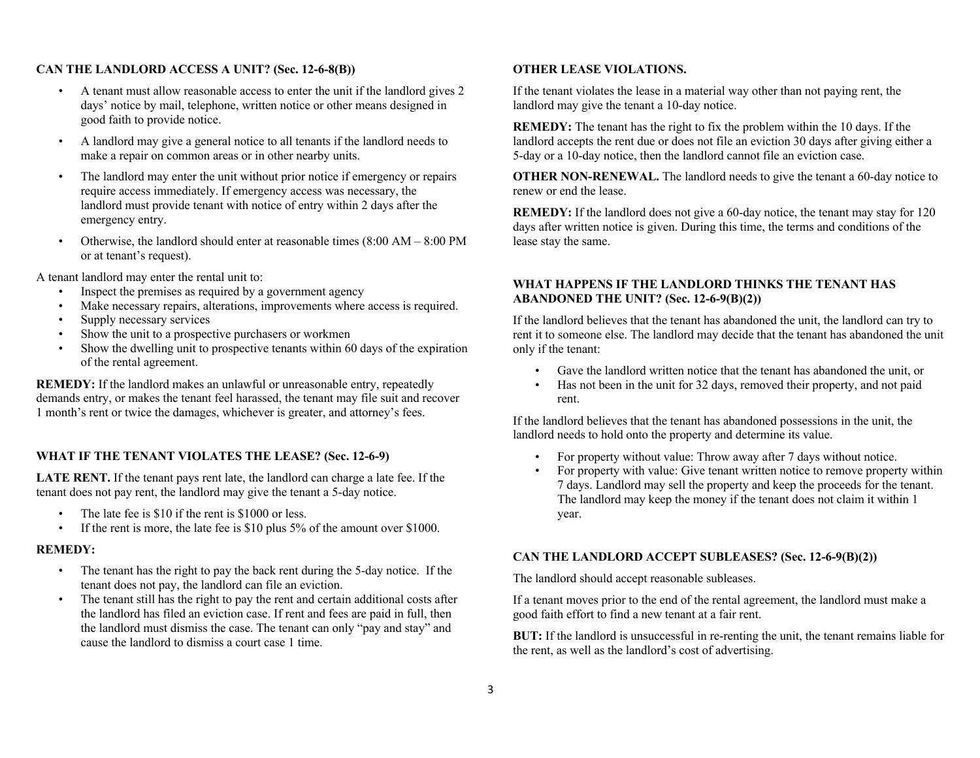## **CAN THE LANDLORD ACCESS A UNIT? (Sec. 12-6-8(B))**

- A tenant must allow reasonable access to enter the unit if the landlord gives 2 days' notice by mail, telephone, written notice or other means designed in good faith to provide notice.
- A landlord may give a general notice to all tenants if the landlord needs to make a repair on common areas or in other nearby units.
- The landlord may enter the unit without prior notice if emergency or repairs require access immediately. If emergency access was necessary, the landlord must provide tenant with notice of entry within 2 days after the emergency entry.
- Otherwise, the landlord should enter at reasonable times  $(8:00 \text{ AM} 8:00 \text{ PM})$ or at tenant's request).

A tenant landlord may enter the rental unit to:

- Inspect the premises as required by a government agency
- Make necessary repairs, alterations, improvements where access is required.
- Supply necessary services
- Show the unit to a prospective purchasers or workmen
- Show the dwelling unit to prospective tenants within 60 days of the expiration of the rental agreement.

**REMEDY:** If the landlord makes an unlawful or unreasonable entry, repeatedly demands entry, or makes the tenant feel harassed, the tenant may file suit and recover 1 month's rent or twice the damages, whichever is greater, and attorney's fees.

#### **WHAT IF THE TENANT VIOLATES THE LEASE? (Sec. 12-6-9)**

**LATE RENT.** If the tenant pays rent late, the landlord can charge a late fee. If the tenant does not pay rent, the landlord may give the tenant a 5-day notice.

- The late fee is \$10 if the rent is \$1000 or less.
- If the rent is more, the late fee is \$10 plus 5% of the amount over \$1000.

#### **REMEDY:**

- The tenant has the right to pay the back rent during the 5-day notice. If the tenant does not pay, the landlord can file an eviction.
- The tenant still has the right to pay the rent and certain additional costs after the landlord has filed an eviction case. If rent and fees are paid in full, then the landlord must dismiss the case. The tenant can only "pay and stay" and cause the landlord to dismiss a court case 1 time.

#### **OTHER LEASE VIOLATIONS.**

If the tenant violates the lease in a material way other than not paying rent, the landlord may give the tenant a 10-day notice.

**REMEDY:** The tenant has the right to fix the problem within the 10 days. If the landlord accepts the rent due or does not file an eviction 30 days after giving either a 5-day or a 10-day notice, then the landlord cannot file an eviction case.

**OTHER NON-RENEWAL.** The landlord needs to give the tenant a 60-day notice to renew or end the lease.

**REMEDY:** If the landlord does not give a 60-day notice, the tenant may stay for 120 days after written notice is given. During this time, the terms and conditions of the lease stay the same.

#### **WHAT HAPPENS IF THE LANDLORD THINKS THE TENANT HAS ABANDONED THE UNIT? (Sec. 12-6-9(B)(2))**

If the landlord believes that the tenant has abandoned the unit, the landlord can try to rent it to someone else. The landlord may decide that the tenant has abandoned the unit only if the tenant:

- Gave the landlord written notice that the tenant has abandoned the unit, or
- Has not been in the unit for 32 days, removed their property, and not paid rent.

If the landlord believes that the tenant has abandoned possessions in the unit, the landlord needs to hold onto the property and determine its value.

- For property without value: Throw away after 7 days without notice.
- For property with value: Give tenant written notice to remove property within 7 days. Landlord may sell the property and keep the proceeds for the tenant. The landlord may keep the money if the tenant does not claim it within 1 year.

#### **CAN THE LANDLORD ACCEPT SUBLEASES? (Sec. 12-6-9(B)(2))**

The landlord should accept reasonable subleases.

If a tenant moves prior to the end of the rental agreement, the landlord must make a good faith effort to find a new tenant at a fair rent.

**BUT:** If the landlord is unsuccessful in re-renting the unit, the tenant remains liable for the rent, as well as the landlord's cost of advertising.